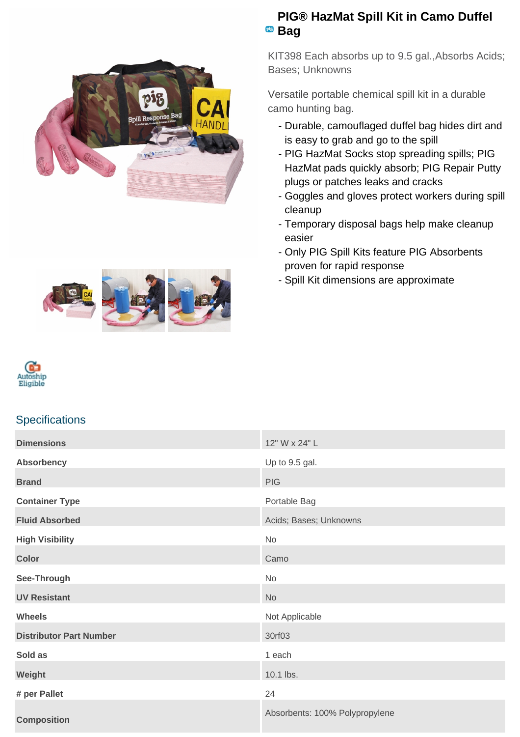

## **PIG® HazMat Spill Kit in Camo Duffel** <sup>pig</sup> Bag

KIT398 Each absorbs up to 9.5 gal.,Absorbs Acids; Bases; Unknowns

Versatile portable chemical spill kit in a durable camo hunting bag.

- Durable, camouflaged duffel bag hides dirt and is easy to grab and go to the spill
- PIG HazMat Socks stop spreading spills; PIG HazMat pads quickly absorb; PIG Repair Putty plugs or patches leaks and cracks
- Goggles and gloves protect workers during spill cleanup
- Temporary disposal bags help make cleanup easier
- Only PIG Spill Kits feature PIG Absorbents proven for rapid response
- Spill Kit dimensions are approximate





## **Specifications**

| <b>Dimensions</b>              | 12" W x 24" L                  |
|--------------------------------|--------------------------------|
| <b>Absorbency</b>              | Up to 9.5 gal.                 |
| <b>Brand</b>                   | <b>PIG</b>                     |
| <b>Container Type</b>          | Portable Bag                   |
| <b>Fluid Absorbed</b>          | Acids; Bases; Unknowns         |
| <b>High Visibility</b>         | No                             |
| <b>Color</b>                   | Camo                           |
| See-Through                    | No                             |
| <b>UV Resistant</b>            | <b>No</b>                      |
| <b>Wheels</b>                  | Not Applicable                 |
| <b>Distributor Part Number</b> | 30rf03                         |
| Sold as                        | 1 each                         |
| Weight                         | 10.1 lbs.                      |
| # per Pallet                   | 24                             |
| <b>Composition</b>             | Absorbents: 100% Polypropylene |